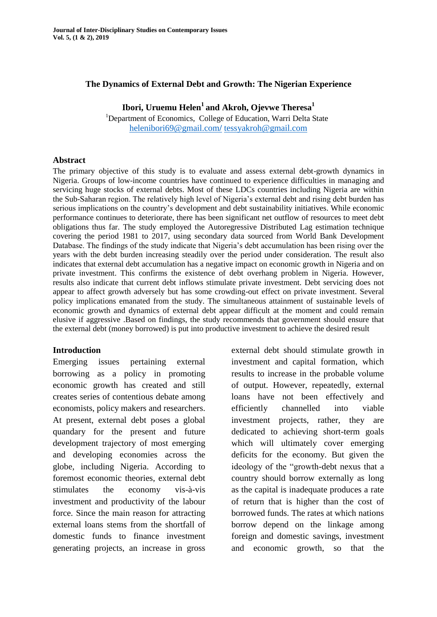## **The Dynamics of External Debt and Growth: The Nigerian Experience**

**Ibori, Uruemu Helen<sup>1</sup> and Akroh, Ojevwe Theresa<sup>1</sup>**

<sup>1</sup>Department of Economics, College of Education, Warri Delta State [helenibori69@gmail.com](mailto:helenibori69@gmail.com/)**/** [tessyakroh@gmail.com](mailto:tessyakroh@gmail.com)

#### **Abstract**

The primary objective of this study is to evaluate and assess external debt-growth dynamics in Nigeria. Groups of low-income countries have continued to experience difficulties in managing and servicing huge stocks of external debts. Most of these LDCs countries including Nigeria are within the Sub-Saharan region. The relatively high level of Nigeria"s external debt and rising debt burden has serious implications on the country's development and debt sustainability initiatives. While economic performance continues to deteriorate, there has been significant net outflow of resources to meet debt obligations thus far. The study employed the Autoregressive Distributed Lag estimation technique covering the period 1981 to 2017, using secondary data sourced from World Bank Development Database. The findings of the study indicate that Nigeria's debt accumulation has been rising over the years with the debt burden increasing steadily over the period under consideration. The result also indicates that external debt accumulation has a negative impact on economic growth in Nigeria and on private investment. This confirms the existence of debt overhang problem in Nigeria. However, results also indicate that current debt inflows stimulate private investment. Debt servicing does not appear to affect growth adversely but has some crowding-out effect on private investment. Several policy implications emanated from the study. The simultaneous attainment of sustainable levels of economic growth and dynamics of external debt appear difficult at the moment and could remain elusive if aggressive .Based on findings, the study recommends that government should ensure that the external debt (money borrowed) is put into productive investment to achieve the desired result

## **Introduction**

Emerging issues pertaining external borrowing as a policy in promoting economic growth has created and still creates series of contentious debate among economists, policy makers and researchers. At present, external debt poses a global quandary for the present and future development trajectory of most emerging and developing economies across the globe, including Nigeria. According to foremost economic theories, external debt stimulates the economy vis-à-vis investment and productivity of the labour force. Since the main reason for attracting external loans stems from the shortfall of domestic funds to finance investment generating projects, an increase in gross external debt should stimulate growth in investment and capital formation, which results to increase in the probable volume of output. However, repeatedly, external loans have not been effectively and efficiently channelled into viable investment projects, rather, they are dedicated to achieving short-term goals which will ultimately cover emerging deficits for the economy. But given the ideology of the "growth-debt nexus that a country should borrow externally as long as the capital is inadequate produces a rate of return that is higher than the cost of borrowed funds. The rates at which nations borrow depend on the linkage among foreign and domestic savings, investment and economic growth, so that the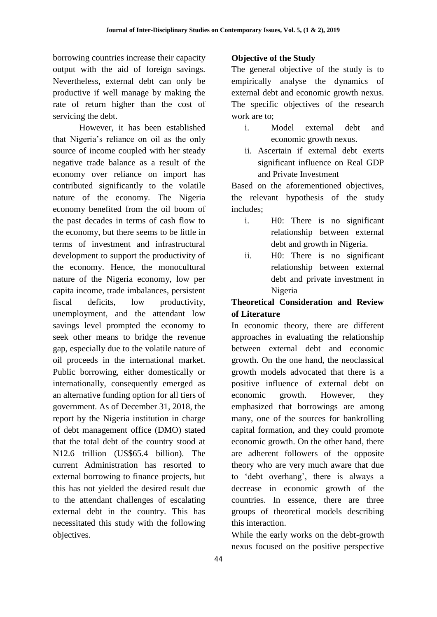borrowing countries increase their capacity output with the aid of foreign savings. Nevertheless, external debt can only be productive if well manage by making the rate of return higher than the cost of servicing the debt.

However, it has been established that Nigeria"s reliance on oil as the only source of income coupled with her steady negative trade balance as a result of the economy over reliance on import has contributed significantly to the volatile nature of the economy. The Nigeria economy benefited from the oil boom of the past decades in terms of cash flow to the economy, but there seems to be little in terms of investment and infrastructural development to support the productivity of the economy. Hence, the monocultural nature of the Nigeria economy, low per capita income, trade imbalances, persistent fiscal deficits, low productivity, unemployment, and the attendant low savings level prompted the economy to seek other means to bridge the revenue gap, especially due to the volatile nature of oil proceeds in the international market. Public borrowing, either domestically or internationally, consequently emerged as an alternative funding option for all tiers of government. As of December 31, 2018, the report by the Nigeria institution in charge of debt management office (DMO) stated that the total debt of the country stood at N12.6 trillion (US\$65.4 billion). The current Administration has resorted to external borrowing to finance projects, but this has not yielded the desired result due to the attendant challenges of escalating external debt in the country. This has necessitated this study with the following objectives.

## **Objective of the Study**

The general objective of the study is to empirically analyse the dynamics of external debt and economic growth nexus. The specific objectives of the research work are to;

- i. Model external debt and economic growth nexus.
- ii. Ascertain if external debt exerts significant influence on Real GDP and Private Investment

Based on the aforementioned objectives, the relevant hypothesis of the study includes;

- i. H0: There is no significant relationship between external debt and growth in Nigeria.
- ii. H0: There is no significant relationship between external debt and private investment in Nigeria

# **Theoretical Consideration and Review of Literature**

In economic theory, there are different approaches in evaluating the relationship between external debt and economic growth. On the one hand, the neoclassical growth models advocated that there is a positive influence of external debt on economic growth. However, they emphasized that borrowings are among many, one of the sources for bankrolling capital formation, and they could promote economic growth. On the other hand, there are adherent followers of the opposite theory who are very much aware that due to "debt overhang", there is always a decrease in economic growth of the countries. In essence, there are three groups of theoretical models describing this interaction.

While the early works on the debt-growth nexus focused on the positive perspective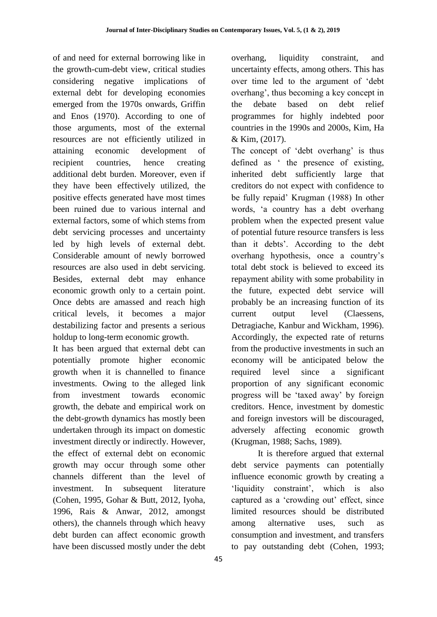of and need for external borrowing like in the growth-cum-debt view, critical studies considering negative implications of external debt for developing economies emerged from the 1970s onwards, Griffin and Enos (1970). According to one of those arguments, most of the external resources are not efficiently utilized in attaining economic development of recipient countries, hence creating additional debt burden. Moreover, even if they have been effectively utilized, the positive effects generated have most times been ruined due to various internal and external factors, some of which stems from debt servicing processes and uncertainty led by high levels of external debt. Considerable amount of newly borrowed resources are also used in debt servicing. Besides, external debt may enhance economic growth only to a certain point. Once debts are amassed and reach high critical levels, it becomes a major destabilizing factor and presents a serious holdup to long-term economic growth.

It has been argued that external debt can potentially promote higher economic growth when it is channelled to finance investments. Owing to the alleged link from investment towards economic growth, the debate and empirical work on the debt-growth dynamics has mostly been undertaken through its impact on domestic investment directly or indirectly. However, the effect of external debt on economic growth may occur through some other channels different than the level of investment. In subsequent literature (Cohen, 1995, Gohar & Butt, 2012, Iyoha, 1996, Rais & Anwar, 2012, amongst others), the channels through which heavy debt burden can affect economic growth have been discussed mostly under the debt overhang, liquidity constraint, and uncertainty effects, among others. This has over time led to the argument of "debt overhang", thus becoming a key concept in the debate based on debt relief programmes for highly indebted poor countries in the 1990s and 2000s, Kim, Ha & Kim, (2017).

The concept of 'debt overhang' is thus defined as " the presence of existing, inherited debt sufficiently large that creditors do not expect with confidence to be fully repaid" Krugman (1988) In other words, 'a country has a debt overhang problem when the expected present value of potential future resource transfers is less than it debts". According to the debt overhang hypothesis, once a country"s total debt stock is believed to exceed its repayment ability with some probability in the future, expected debt service will probably be an increasing function of its current output level (Claessens, Detragiache, Kanbur and Wickham, 1996). Accordingly, the expected rate of returns from the productive investments in such an economy will be anticipated below the required level since a significant proportion of any significant economic progress will be "taxed away" by foreign creditors. Hence, investment by domestic and foreign investors will be discouraged, adversely affecting economic growth (Krugman, 1988; Sachs, 1989).

It is therefore argued that external debt service payments can potentially influence economic growth by creating a 'liquidity constraint', which is also captured as a 'crowding out' effect, since limited resources should be distributed among alternative uses, such as consumption and investment, and transfers to pay outstanding debt (Cohen, 1993;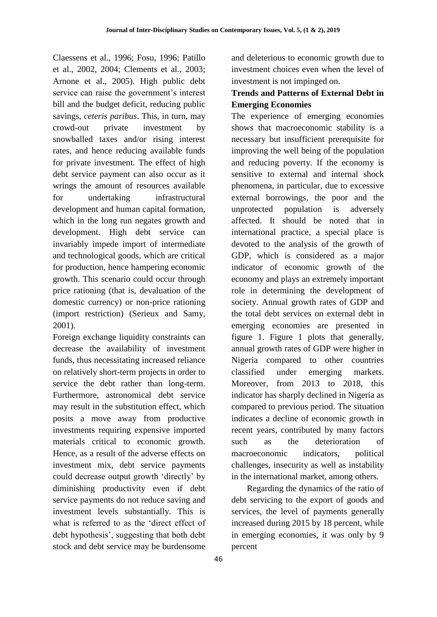Claessens et al., 1996; Fosu, 1996; Patillo et al., 2002, 2004; Clements et al., 2003; Arnone et al., 2005). High public debt service can raise the government's interest bill and the budget deficit, reducing public savings, *ceteris paribus*. This, in turn, may crowd-out private investment by snowballed taxes and/or rising interest rates, and hence reducing available funds for private investment. The effect of high debt service payment can also occur as it wrings the amount of resources available for undertaking infrastructural development and human capital formation, which in the long run negates growth and development. High debt service can invariably impede import of intermediate and technological goods, which are critical for production, hence hampering economic growth. This scenario could occur through price rationing (that is, devaluation of the domestic currency) or non-price rationing (import restriction) (Serieux and Samy, 2001).

Foreign exchange liquidity constraints can decrease the availability of investment funds, thus necessitating increased reliance on relatively short-term projects in order to service the debt rather than long-term. Furthermore, astronomical debt service may result in the substitution effect, which posits a move away from productive investments requiring expensive imported materials critical to economic growth. Hence, as a result of the adverse effects on investment mix, debt service payments could decrease output growth "directly" by diminishing productivity even if debt service payments do not reduce saving and investment levels substantially. This is what is referred to as the "direct effect of debt hypothesis", suggesting that both debt stock and debt service may be burdensome

and deleterious to economic growth due to investment choices even when the level of investment is not impinged on.

# **Trends and Patterns of External Debt in Emerging Economies**

The experience of emerging economies shows that macroeconomic stability is a necessary but insufficient prerequisite for improving the well being of the population and reducing poverty. If the economy is sensitive to external and internal shock phenomena, in particular, due to excessive external borrowings, the poor and the unprotected population is adversely affected. It should be noted that in international practice, a special place is devoted to the analysis of the growth of GDP, which is considered as a major indicator of economic growth of the economy and plays an extremely important role in determining the development of society. Annual growth rates of GDP and the total debt services on external debt in emerging economies are presented in figure 1. Figure 1 plots that generally, annual growth rates of GDP were higher in Nigeria compared to other countries classified under emerging markets. Moreover, from 2013 to 2018, this indicator has sharply declined in Nigeria as compared to previous period. The situation indicates a decline of economic growth in recent years, contributed by many factors such as the deterioration of macroeconomic indicators, political challenges, insecurity as well as instability in the international market, among others.

 Regarding the dynamics of the ratio of debt servicing to the export of goods and services, the level of payments generally increased during 2015 by 18 percent, while in emerging economies, it was only by 9 percent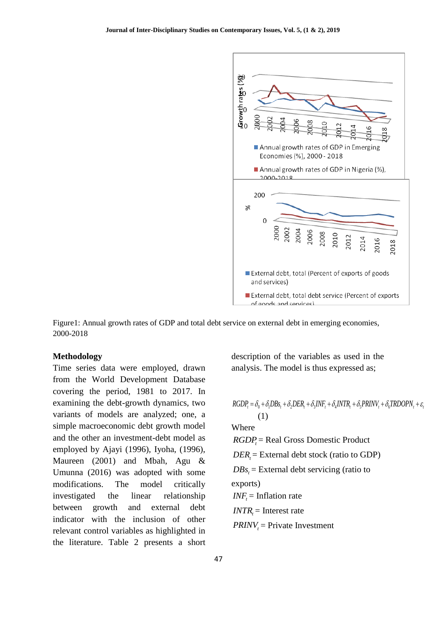

Figure1: Annual growth rates of GDP and total debt service on external debt in emerging economies, 2000-2018

#### **Methodology**

Time series data were employed, drawn from the World Development Database covering the period, 1981 to 2017. In examining the debt-growth dynamics, two variants of models are analyzed; one, a simple macroeconomic debt growth model and the other an investment-debt model as employed by Ajayi (1996), Iyoha, (1996), Maureen (2001) and Mbah, Agu & Umunna (2016) was adopted with some modifications. The model critically investigated the linear relationship between growth and external debt indicator with the inclusion of other relevant control variables as highlighted in the literature. Table 2 presents a short description of the variables as used in the analysis. The model is thus expressed as;

$$
RGDP_{i} = \delta_{0} + \delta_{i}DBs_{t} + \delta_{2}DER_{t} + \delta_{3}INF_{t} + \delta_{4}INTR_{t} + \delta_{5} PRINV_{t} + \delta_{6} TRDOPN_{t} + \varepsilon_{t}
$$
\n(1)  
\nWhere  
\n
$$
RGDP_{t} = Real Gross Domestic Product
$$
  
\n
$$
DER_{t} = External debt stock (ratio to GDP)
$$
  
\n
$$
DBs_{t} = External debt serving (ratio to\nexports)
$$
  
\n
$$
INF_{t} = Inflation rate
$$
  
\n
$$
INTR_{t} = Interest rate
$$
  
\n
$$
PRINV_{t} = Private Investment
$$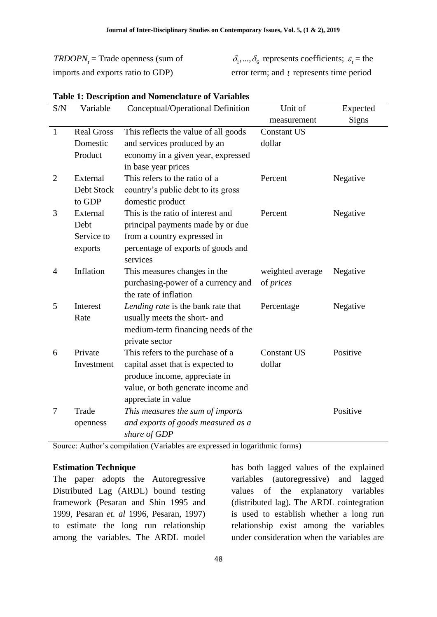*TRDOPN*<sup>*t*</sup></sup> = Trade openness (sum of imports and exports ratio to GDP)

 $\delta_1, ..., \delta_6$  represents coefficients;  $\varepsilon_t$  = the error term; and *t* represents time period

| S/N            | Variable          | Conceptual/Operational Definition    | Unit of            | Expected |
|----------------|-------------------|--------------------------------------|--------------------|----------|
|                |                   |                                      | measurement        | Signs    |
| $\mathbf{1}$   | <b>Real Gross</b> | This reflects the value of all goods | <b>Constant US</b> |          |
|                | Domestic          | and services produced by an          | dollar             |          |
|                | Product           | economy in a given year, expressed   |                    |          |
|                |                   | in base year prices                  |                    |          |
| $\overline{2}$ | External          | This refers to the ratio of a        | Percent            | Negative |
|                | Debt Stock        | country's public debt to its gross   |                    |          |
|                | to GDP            | domestic product                     |                    |          |
| 3              | External          | This is the ratio of interest and    | Percent            | Negative |
|                | Debt              | principal payments made by or due    |                    |          |
|                | Service to        | from a country expressed in          |                    |          |
|                | exports           | percentage of exports of goods and   |                    |          |
|                |                   | services                             |                    |          |
| $\overline{4}$ | Inflation         | This measures changes in the         | weighted average   | Negative |
|                |                   | purchasing-power of a currency and   | of <i>prices</i>   |          |
|                |                   | the rate of inflation                |                    |          |
| 5              | Interest          | Lending rate is the bank rate that   | Percentage         | Negative |
|                | Rate              | usually meets the short- and         |                    |          |
|                |                   | medium-term financing needs of the   |                    |          |
|                |                   | private sector                       |                    |          |
| 6              | Private           | This refers to the purchase of a     | <b>Constant US</b> | Positive |
|                | Investment        | capital asset that is expected to    | dollar             |          |
|                |                   | produce income, appreciate in        |                    |          |
|                |                   | value, or both generate income and   |                    |          |
|                |                   | appreciate in value                  |                    |          |
| 7              | Trade             | This measures the sum of imports     |                    | Positive |
|                | openness          | and exports of goods measured as a   |                    |          |
|                |                   | share of GDP                         |                    |          |

#### **Table 1: Description and Nomenclature of Variables**

Source: Author's compilation (Variables are expressed in logarithmic forms)

#### **Estimation Technique**

The paper adopts the Autoregressive Distributed Lag (ARDL) bound testing framework (Pesaran and Shin 1995 and 1999, Pesaran *et. al* 1996, Pesaran, 1997) to estimate the long run relationship among the variables. The ARDL model has both lagged values of the explained variables (autoregressive) and lagged values of the explanatory variables (distributed lag). The ARDL cointegration is used to establish whether a long run relationship exist among the variables under consideration when the variables are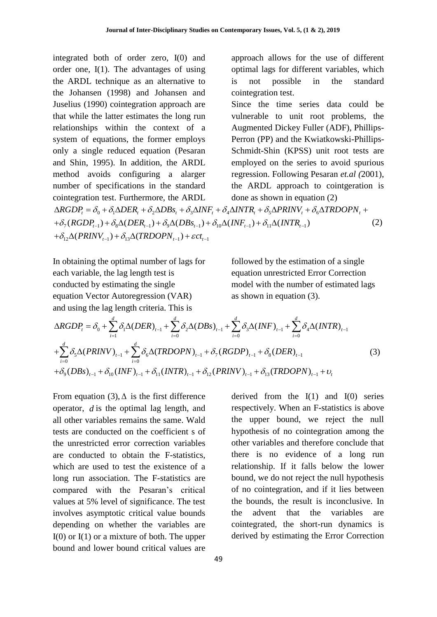integrated both of order zero, I(0) and order one, I(1). The advantages of using the ARDL technique as an alternative to the Johansen (1998) and Johansen and Juselius (1990) cointegration approach are that while the latter estimates the long run relationships within the context of a system of equations, the former employs only a single reduced equation (Pesaran and Shin, 1995). In addition, the ARDL method avoids configuring a alarger number of specifications in the standard cointegration test. Furthermore, the ARDL approach allows for the use of different optimal lags for different variables, which is not possible in the standard cointegration test. Since the time series data could be vulnerable to unit root problems, the Augmented Dickey Fuller (ADF), Phillips-Perron (PP) and the Kwiatkowski-Phillips-Schmidt-Shin (KPSS) unit root tests are employed on the series to avoid spurious regression. Following Pesaran *et.al (*2001), the ARDL approach to cointgeration is done as shown in equation (2) method avoids configuring a alarger regression. Following Pesaran *et.al* (2001),<br>
number of specifications in the standard the ARDL approach to cointgeration is<br>
cointegration test. Furthermore, the ARDL done as shown in umber of specifications in the standard<br>
integration test. Furthermore, the ARDL<br>
done as shown in equati<br>  $RGDP_i = \delta_0 + \delta_1 \Delta DER_i + \delta_2 \Delta DBs_i + \delta_3 \Delta INF_i + \delta_4 \Delta INTR_i + \delta_5 \Delta PRINV_i + \delta_6 \Delta (RBDP_{i-1}) + \delta_8 \Delta (DER_{i-1}) + \delta_9 \Delta (DBs_{i-1}) + \delta_{10} \Delta (INF$ ntegration test. Furthermore, the ARDL<br>  $RGDP_t = \delta_0 + \delta_1 \Delta DER_t + \delta_2 \Delta DBs_t + \delta_3 \Delta INi$ <br>  $\delta_7 (RGDP_{t-1}) + \delta_8 \Delta (DER_{t-1}) + \delta_9 \Delta (DBs_{t-1}) +$ <br>  $\delta_{12} \Delta (PRINV_{t-1}) + \delta_{13} \Delta (TRDOPN_{t-1}) + \varepsilon ct_{t-1}$ ontegration test. Furthermore, the ARDL don<br>  $RGDP_t = \delta_0 + \delta_1 \Delta DER_t + \delta_2 \Delta DBs_t + \delta_3 \Delta INF_t + \delta_4 \Delta IN$ <br>  $\delta_7 (RGDP_{t-1}) + \delta_8 \Delta (DER_{t-1}) + \delta_9 \Delta (DBs_{t-1}) + \delta_{10} \Delta (INF_{t-1}) + \delta_{13} \Delta (TRDOPN_{t-1}) + \varepsilon ct_{t-1}$  $\delta_0 + \delta_1 \Delta DER_t + \delta_2 \Delta DBs_t + \delta_3 \Delta INF_t + \delta_4 \Delta INTR_t + \delta_5 \Delta PRINV_t + \delta_6 \Delta TI_t$ <br>-1) +  $\delta_8 \Delta (DER_{t-1}) + \delta_9 \Delta (DBs_{t-1}) + \delta_{10} \Delta (INF_{t-1}) + \delta_{11} \Delta (INTR_{t-1})$ +  $\delta_8\Delta (DER_{t-1}) + \delta_9\Delta (DBs_{t-1}) + \delta_{10}\Delta (I$ <br>-1) +  $\delta_{13}\Delta (TRDOPN_{t-1}) + \varepsilon ct_{t-1}$ number of specifications in the standard the ARDL approach to<br>cointegration test. Furthermore, the ARDL done as shown in equation<br> $\triangle RGDP_t = \delta_0 + \delta_1 \triangle DER_t + \delta_2 \triangle DBs_t + \delta_3 \triangle INF_t + \delta_4 \triangle INTR_t + \delta_5 \triangle PRINV_t + \delta_6 \triangle$ <br> $+ \delta_7 (RGDP_{t-1}) + \delta_8 \triangle$ cointegration test. Furthermore, the ARDL<br>  $\triangle RGBP_t = \delta_0 + \delta_1 \triangle DER_t + \delta_2 \triangle DBs_t + \delta_3 \triangle INF_t + \delta_4 \triangle I$ <br>  $+ \delta_7 (RGDP_{t-1}) + \delta_8 \triangle (DER_{t-1}) + \delta_9 \triangle (DBs_{t-1}) + \delta_{10} \triangle (IN + \delta_{12} \triangle (PRINV_{t-1}) + \delta_{13} \triangle (TRDOPN_{t-1}) + \varepsilon ct_{t-1}$ (2)

In obtaining the optimal number of lags for each variable, the lag length test is conducted by estimating the single equation Vector Autoregression (VAR) and using the lag length criteria. This is

followed by the estimation of a single equation unrestricted Error Correction model with the number of estimated lags as shown in equation (3).

each variable, the lag length test is  
\nconducted by estimating the single  
\nequation Vector Autoregression (VAR)  
\nand using the lag length criteria. This is  
\n
$$
\Delta RGDP_t = \delta_0 + \sum_{i=1}^d \delta_i \Delta (DER)_{t-1} + \sum_{i=0}^d \delta_2 \Delta (DBs)_{t-1} + \sum_{i=0}^d \delta_3 \Delta (INF)_{t-1} + \sum_{i=0}^d \delta_4 \Delta (INTR)_{t-1}
$$
\n
$$
+ \sum_{i=0}^d \delta_5 \Delta (PRINV)_{t-1} + \sum_{i=0}^d \delta_6 \Delta (TRDOPN)_{t-1} + \delta_7 (RGDP)_{t-1} + \delta_8 (DER)_{t-1}
$$
\n
$$
+ \delta_9 (DBs)_{t-1} + \delta_{10} (INF)_{t-1} + \delta_{11} (INTR)_{t-1} + \delta_{12} (PRINV)_{t-1} + \delta_{13} (TRDOPN)_{t-1} + \nu_t
$$
\n(3)

From equation (3),  $\Delta$  is the first difference operator, *d* is the optimal lag length, and all other variables remains the same. Wald tests are conducted on the coefficient s of the unrestricted error correction variables are conducted to obtain the F-statistics, which are used to test the existence of a long run association. The F-statistics are compared with the Pesaran"s critical values at 5% level of significance. The test involves asymptotic critical value bounds depending on whether the variables are  $I(0)$  or  $I(1)$  or a mixture of both. The upper bound and lower bound critical values are

derived from the  $I(1)$  and  $I(0)$  series respectively. When an F-statistics is above the upper bound, we reject the null hypothesis of no cointegration among the other variables and therefore conclude that there is no evidence of a long run relationship. If it falls below the lower bound, we do not reject the null hypothesis of no cointegration, and if it lies between the bounds, the result is inconclusive. In the advent that the variables are cointegrated, the short-run dynamics is derived by estimating the Error Correction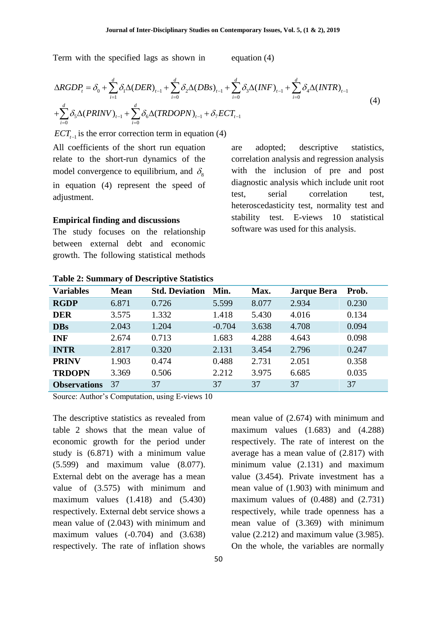Term with the specified lags as shown in equation (4)

Term with the specified lags as shown in  
\n
$$
\Delta RGDP_t = \delta_0 + \sum_{i=1}^d \delta_i \Delta (DER)_{t-1} + \sum_{i=0}^d \delta_2 \Delta (DBs)_{t-1} + \sum_{i=0}^d \delta_3 \Delta (INF)_{t-1} + \sum_{i=0}^d \delta_4 \Delta (INTR)_{t-1}
$$
\n
$$
+ \sum_{i=0}^d \delta_5 \Delta (PRINV)_{t-1} + \sum_{i=0}^d \delta_6 \Delta (TRDOPN)_{t-1} + \delta_7 ECT_{t-1}
$$
\n(4)

 $\text{ECT}_{t-1}$  is the error correction term in equation (4)

All coefficients of the short run equation relate to the short-run dynamics of the model convergence to equilibrium, and  $\delta_{\rm s}$ in equation (4) represent the speed of adjustment.

#### **Empirical finding and discussions**

The study focuses on the relationship between external debt and economic growth. The following statistical methods

are adopted; descriptive statistics, correlation analysis and regression analysis with the inclusion of pre and post diagnostic analysis which include unit root test, serial correlation test, heteroscedasticity test, normality test and stability test. E-views 10 statistical software was used for this analysis.

| <b>Variables</b>    | <b>Mean</b> | <b>Std. Deviation</b> | Min.     | Max.  | <b>Jarque Bera</b> | Prob. |
|---------------------|-------------|-----------------------|----------|-------|--------------------|-------|
| <b>RGDP</b>         | 6.871       | 0.726                 | 5.599    | 8.077 | 2.934              | 0.230 |
| <b>DER</b>          | 3.575       | 1.332                 | 1.418    | 5.430 | 4.016              | 0.134 |
| <b>DBs</b>          | 2.043       | 1.204                 | $-0.704$ | 3.638 | 4.708              | 0.094 |
| <b>INF</b>          | 2.674       | 0.713                 | 1.683    | 4.288 | 4.643              | 0.098 |
| <b>INTR</b>         | 2.817       | 0.320                 | 2.131    | 3.454 | 2.796              | 0.247 |
| <b>PRINV</b>        | 1.903       | 0.474                 | 0.488    | 2.731 | 2.051              | 0.358 |
| <b>TRDOPN</b>       | 3.369       | 0.506                 | 2.212    | 3.975 | 6.685              | 0.035 |
| <b>Observations</b> | 37          | 37                    | 37       | 37    | 37                 | 37    |

#### **Table 2: Summary of Descriptive Statistics**

Source: Author"s Computation, using E-views 10

The descriptive statistics as revealed from table 2 shows that the mean value of economic growth for the period under study is (6.871) with a minimum value (5.599) and maximum value (8.077). External debt on the average has a mean value of (3.575) with minimum and maximum values (1.418) and (5.430) respectively. External debt service shows a mean value of (2.043) with minimum and maximum values  $(-0.704)$  and  $(3.638)$ respectively. The rate of inflation shows

mean value of (2.674) with minimum and maximum values (1.683) and (4.288) respectively. The rate of interest on the average has a mean value of (2.817) with minimum value (2.131) and maximum value (3.454). Private investment has a mean value of (1.903) with minimum and maximum values of  $(0.488)$  and  $(2.731)$ respectively, while trade openness has a mean value of (3.369) with minimum value (2.212) and maximum value (3.985). On the whole, the variables are normally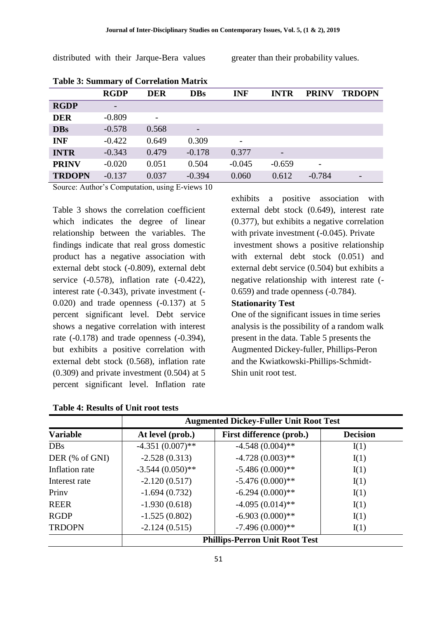distributed with their Jarque-Bera values greater than their probability values.

|               | <b>RGDP</b> | <b>DER</b> | <b>DBs</b>               | <b>INF</b> | <b>INTR</b> | <b>PRINV</b>             | <b>TRDOPN</b>            |
|---------------|-------------|------------|--------------------------|------------|-------------|--------------------------|--------------------------|
| <b>RGDP</b>   | -           |            |                          |            |             |                          |                          |
| <b>DER</b>    | $-0.809$    | -          |                          |            |             |                          |                          |
| <b>DBs</b>    | $-0.578$    | 0.568      | $\overline{\phantom{0}}$ |            |             |                          |                          |
| <b>INF</b>    | $-0.422$    | 0.649      | 0.309                    |            |             |                          |                          |
| <b>INTR</b>   | $-0.343$    | 0.479      | $-0.178$                 | 0.377      | -           |                          |                          |
| <b>PRINV</b>  | $-0.020$    | 0.051      | 0.504                    | $-0.045$   | $-0.659$    | $\overline{\phantom{0}}$ |                          |
| <b>TRDOPN</b> | $-0.137$    | 0.037      | $-0.394$                 | 0.060      | 0.612       | $-0.784$                 | $\overline{\phantom{0}}$ |

**Table 3: Summary of Correlation Matrix**

Source: Author"s Computation, using E-views 10

Table 3 shows the correlation coefficient which indicates the degree of linear relationship between the variables. The findings indicate that real gross domestic product has a negative association with external debt stock (-0.809), external debt service  $(-0.578)$ , inflation rate  $(-0.422)$ , interest rate (-0.343), private investment (- 0.020) and trade openness (-0.137) at 5 percent significant level. Debt service shows a negative correlation with interest rate (-0.178) and trade openness (-0.394), but exhibits a positive correlation with external debt stock (0.568), inflation rate (0.309) and private investment (0.504) at 5 percent significant level. Inflation rate

**Table 4: Results of Unit root tests**

exhibits a positive association with external debt stock (0.649), interest rate (0.377), but exhibits a negative correlation with private investment (-0.045). Private investment shows a positive relationship with external debt stock (0.051) and external debt service (0.504) but exhibits a negative relationship with interest rate (- 0.659) and trade openness (-0.784).

## **Stationarity Test**

One of the significant issues in time series analysis is the possibility of a random walk present in the data. Table 5 presents the Augmented Dickey-fuller, Phillips-Peron and the Kwiatkowski-Phillips-Schmidt-Shin unit root test.

|                 | <b>Augmented Dickey-Fuller Unit Root Test</b> |                          |                 |  |  |
|-----------------|-----------------------------------------------|--------------------------|-----------------|--|--|
| <b>Variable</b> | At level (prob.)                              | First difference (prob.) | <b>Decision</b> |  |  |
| <b>DBs</b>      | $-4.351(0.007)$ **                            | $-4.548(0.004)$ **       | I(1)            |  |  |
| DER (% of GNI)  | $-2.528(0.313)$                               | $-4.728(0.003)$ **       | I(1)            |  |  |
| Inflation rate  | $-3.544(0.050)$ **                            | $-5.486(0.000)**$        | I(1)            |  |  |
| Interest rate   | $-2.120(0.517)$                               | $-5.476(0.000)**$        | I(1)            |  |  |
| Priny           | $-1.694(0.732)$                               | $-6.294(0.000)**$        | I(1)            |  |  |
| <b>REER</b>     | $-1.930(0.618)$                               | $-4.095(0.014)$ **       | I(1)            |  |  |
| <b>RGDP</b>     | $-1.525(0.802)$                               | $-6.903(0.000)**$        | I(1)            |  |  |
| <b>TRDOPN</b>   | $-2.124(0.515)$                               | $-7.496(0.000)**$        | I(1)            |  |  |
|                 | <b>Phillips-Perron Unit Root Test</b>         |                          |                 |  |  |

51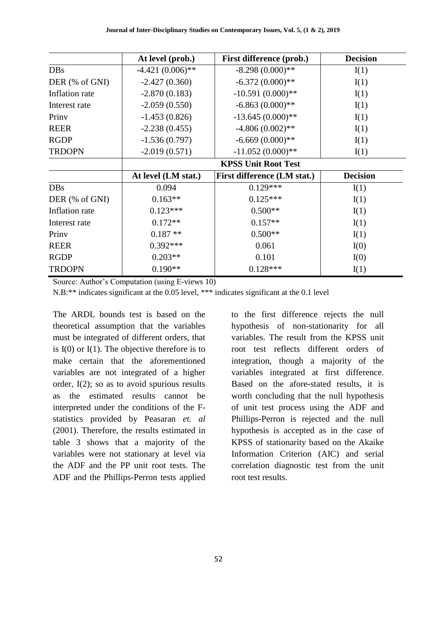|                | At level (prob.)           | First difference (prob.)    | <b>Decision</b> |  |
|----------------|----------------------------|-----------------------------|-----------------|--|
| <b>DBs</b>     | $-4.421(0.006)$ **         | $-8.298(0.000)**$           | I(1)            |  |
| DER (% of GNI) | $-2.427(0.360)$            | $-6.372(0.000)**$           | I(1)            |  |
| Inflation rate | $-2.870(0.183)$            | $-10.591(0.000)$ **         | I(1)            |  |
| Interest rate  | $-2.059(0.550)$            | $-6.863(0.000)**$           | I(1)            |  |
| Priny          | $-1.453(0.826)$            | $-13.645(0.000)**$          | I(1)            |  |
| <b>REER</b>    | $-2.238(0.455)$            | $-4.806(0.002)$ **          | I(1)            |  |
| <b>RGDP</b>    | $-1.536(0.797)$            | $-6.669(0.000)**$           | I(1)            |  |
| <b>TRDOPN</b>  | $-2.019(0.571)$            | $-11.052(0.000)**$          | I(1)            |  |
|                | <b>KPSS Unit Root Test</b> |                             |                 |  |
|                | At level (LM stat.)        | First difference (LM stat.) | <b>Decision</b> |  |
| <b>DBs</b>     | 0.094                      | $0.129***$                  | I(1)            |  |
| DER (% of GNI) | $0.163**$                  | $0.125***$                  | I(1)            |  |
| Inflation rate | $0.123***$                 | $0.500**$                   | I(1)            |  |
| Interest rate  | $0.172**$                  | $0.157**$                   | I(1)            |  |
| Priny          | $0.187**$                  | $0.500**$                   | I(1)            |  |
| <b>REER</b>    | $0.392***$                 | 0.061                       | I(0)            |  |
| <b>RGDP</b>    | $0.203**$                  | 0.101                       | I(0)            |  |
| <b>TRDOPN</b>  | $0.190**$                  | $0.128***$                  | I(1)            |  |

Source: Author"s Computation (using E-views 10)

N.B:\*\* indicates significant at the 0.05 level, \*\*\* indicates significant at the 0.1 level

The ARDL bounds test is based on the theoretical assumption that the variables must be integrated of different orders, that is  $I(0)$  or  $I(1)$ . The objective therefore is to make certain that the aforementioned variables are not integrated of a higher order, I(2); so as to avoid spurious results as the estimated results cannot be interpreted under the conditions of the Fstatistics provided by Peasaran *et. al* (2001). Therefore, the results estimated in table 3 shows that a majority of the variables were not stationary at level via the ADF and the PP unit root tests. The ADF and the Phillips-Perron tests applied

to the first difference rejects the null hypothesis of non-stationarity for all variables. The result from the KPSS unit root test reflects different orders of integration, though a majority of the variables integrated at first difference. Based on the afore-stated results, it is worth concluding that the null hypothesis of unit test process using the ADF and Phillips-Perron is rejected and the null hypothesis is accepted as in the case of KPSS of stationarity based on the Akaike Information Criterion (AIC) and serial correlation diagnostic test from the unit root test results.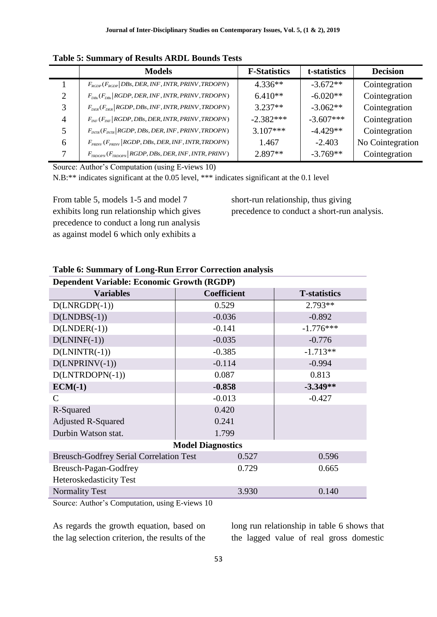|                | <b>Models</b>                                                                                  | <b>F-Statistics</b> | t-statistics | <b>Decision</b>  |
|----------------|------------------------------------------------------------------------------------------------|---------------------|--------------|------------------|
|                | $F_{RGDP}(F_{RGDP}   DBs, DER, INF, INTR, PRINV, TRDOPN)$                                      | $4.336**$           | $-3.672**$   | Cointegration    |
| 2              | $F_{\text{DBs}}(F_{\text{DBs}}  $ RGDP, DER, INF, INTR, PRINV, TRDOPN)                         | $6.410**$           | $-6.020**$   | Cointegration    |
| 3              | $F_{DER}(F_{DER}   RGBP, DBs, INF, INTR, PRINV, TRDOPN)$                                       | $3.237**$           | $-3.062**$   | Cointegration    |
| $\overline{4}$ | $F_{_{INF}}(F_{_{INF}}  $ RGDP, DBs, DER, INTR, PRINV, TRDOPN)                                 | $-2.382***$         | $-3.607***$  | Cointegration    |
| 5              | $F_{INTR}(F_{INTR}   RGBP, DBs, DER, INF, PRINV, TRDOPN)$                                      | $3.107***$          | $-4.429**$   | Cointegration    |
| 6              | $F_{\scriptscriptstyle PRINV}(F_{\scriptscriptstyle PRINV} RGDP, DBs, DER, INF, INTR, TRDOPN)$ | 1.467               | $-2.403$     | No Cointegration |
| 7              | $F_{T\text{RDOPN}}(F_{T\text{RDOPN}} RGDP, DBs, DER, INF, INTR, PRINV)$                        | $2.897**$           | $-3.769**$   | Cointegration    |

**Table 5: Summary of Results ARDL Bounds Tests** 

Source: Author"s Computation (using E-views 10)

N.B:\*\* indicates significant at the 0.05 level, \*\*\* indicates significant at the 0.1 level

From table 5, models 1-5 and model 7 exhibits long run relationship which gives precedence to conduct a long run analysis as against model 6 which only exhibits a

short-run relationship, thus giving precedence to conduct a short-run analysis.

| <b>Dependent Variable: Economic Growth (RGDP)</b> |                    |                      |  |  |  |
|---------------------------------------------------|--------------------|----------------------|--|--|--|
| <b>Variables</b>                                  | <b>Coefficient</b> | <b>T</b> -statistics |  |  |  |
| $D(LNRGDP(-1))$                                   | 0.529              | $2.793**$            |  |  |  |
| $D(LNDBS(-1))$                                    | $-0.036$           | $-0.892$             |  |  |  |
| $D(LNDER(-1))$                                    | $-0.141$           | $-1.776***$          |  |  |  |
| $D(LNINF(-1))$                                    | $-0.035$           | $-0.776$             |  |  |  |
| $D(LNINTER(-1))$                                  | $-0.385$           | $-1.713**$           |  |  |  |
| $D(LNPRINV(-1))$                                  | $-0.114$           | $-0.994$             |  |  |  |
| $D(LNTRDOPN(-1))$                                 | 0.087              | 0.813                |  |  |  |
| $ECM(-1)$                                         | $-0.858$           | $-3.349**$           |  |  |  |
| $\mathcal{C}$                                     | $-0.013$           | $-0.427$             |  |  |  |
| R-Squared                                         | 0.420              |                      |  |  |  |
| <b>Adjusted R-Squared</b>                         | 0.241              |                      |  |  |  |
| Durbin Watson stat.                               | 1.799              |                      |  |  |  |
| <b>Model Diagnostics</b>                          |                    |                      |  |  |  |
| <b>Breusch-Godfrey Serial Correlation Test</b>    | 0.527              | 0.596                |  |  |  |
| Breusch-Pagan-Godfrey                             | 0.729              | 0.665                |  |  |  |
| Heteroskedasticity Test                           |                    |                      |  |  |  |
| <b>Normality Test</b>                             | 3.930              | 0.140                |  |  |  |

#### **Table 6: Summary of Long-Run Error Correction analysis**

Source: Author"s Computation, using E-views 10

As regards the growth equation, based on the lag selection criterion, the results of the

long run relationship in table 6 shows that the lagged value of real gross domestic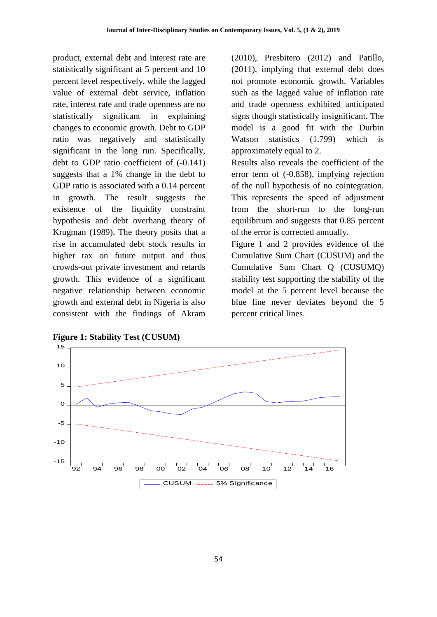product, external debt and interest rate are statistically significant at 5 percent and 10 percent level respectively, while the lagged value of external debt service, inflation rate, interest rate and trade openness are no statistically significant in explaining changes to economic growth. Debt to GDP ratio was negatively and statistically significant in the long run. Specifically, debt to GDP ratio coefficient of (-0.141) suggests that a 1% change in the debt to GDP ratio is associated with a 0.14 percent in growth. The result suggests the existence of the liquidity constraint hypothesis and debt overhang theory of Krugman (1989). The theory posits that a rise in accumulated debt stock results in higher tax on future output and thus crowds-out private investment and retards growth. This evidence of a significant negative relationship between economic growth and external debt in Nigeria is also consistent with the findings of Akram (2010), Presbitero (2012) and Patillo, (2011), implying that external debt does not promote economic growth. Variables such as the lagged value of inflation rate and trade openness exhibited anticipated signs though statistically insignificant. The model is a good fit with the Durbin Watson statistics (1.799) which is approximately equal to 2.

Results also reveals the coefficient of the error term of (-0.858), implying rejection of the null hypothesis of no cointegration. This represents the speed of adjustment from the short-run to the long-run equilibrium and suggests that 0.85 percent of the error is corrected annually.

Figure 1 and 2 provides evidence of the Cumulative Sum Chart (CUSUM) and the Cumulative Sum Chart Q (CUSUMQ) stability test supporting the stability of the model at the 5 percent level because the blue line never deviates beyond the 5 percent critical lines.



**Figure 1: Stability Test (CUSUM)**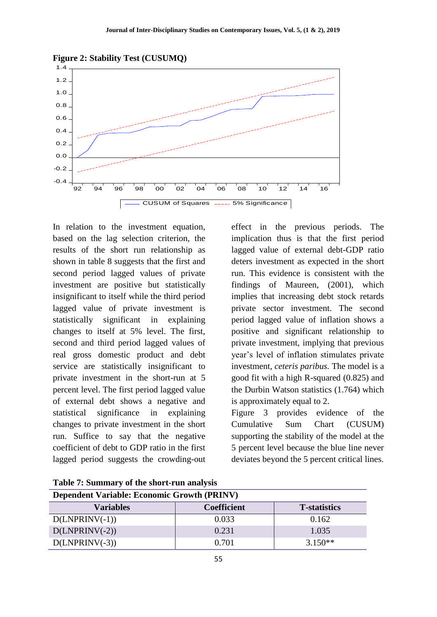



In relation to the investment equation, based on the lag selection criterion, the results of the short run relationship as shown in table 8 suggests that the first and second period lagged values of private investment are positive but statistically insignificant to itself while the third period lagged value of private investment is statistically significant in explaining changes to itself at 5% level. The first, second and third period lagged values of real gross domestic product and debt service are statistically insignificant to private investment in the short-run at 5 percent level. The first period lagged value of external debt shows a negative and statistical significance in explaining changes to private investment in the short run. Suffice to say that the negative coefficient of debt to GDP ratio in the first lagged period suggests the crowding-out

effect in the previous periods. The implication thus is that the first period lagged value of external debt-GDP ratio deters investment as expected in the short run. This evidence is consistent with the findings of Maureen, (2001), which implies that increasing debt stock retards private sector investment. The second period lagged value of inflation shows a positive and significant relationship to private investment, implying that previous year"s level of inflation stimulates private investment, *ceteris paribus.* The model is a good fit with a high R-squared (0.825) and the Durbin Watson statistics (1.764) which is approximately equal to 2.

Figure 3 provides evidence of the Cumulative Sum Chart (CUSUM) supporting the stability of the model at the 5 percent level because the blue line never deviates beyond the 5 percent critical lines.

| <b>Dependent Variable: Economic Growth (PRINV)</b> |                    |                      |  |  |
|----------------------------------------------------|--------------------|----------------------|--|--|
| <b>Variables</b>                                   | <b>Coefficient</b> | <b>T</b> -statistics |  |  |
| $D(LNPRINV(-1))$                                   | 0.033              | 0.162                |  |  |
| $D(LNPRINV(-2))$                                   | 0.231              | 1.035                |  |  |
| $D(LNPRINV(-3))$                                   | 0.701              | $3.150**$            |  |  |

**Table 7: Summary of the short-run analysis**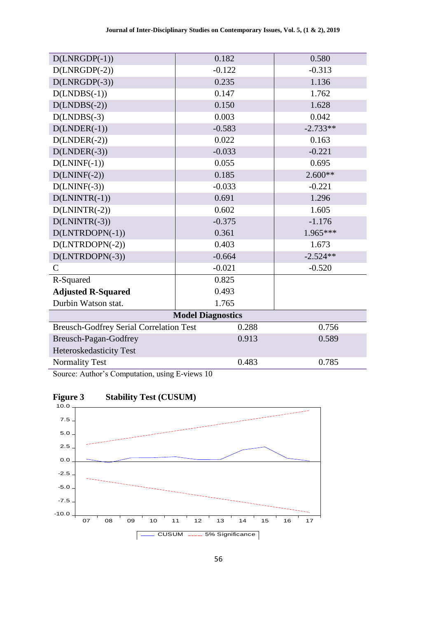| $D(LNRGDP(-1))$                                | 0.182    | 0.580      |  |  |  |
|------------------------------------------------|----------|------------|--|--|--|
| $D(LNRGDP(-2))$                                | $-0.122$ | $-0.313$   |  |  |  |
| $D(LNRGDP(-3))$                                | 0.235    | 1.136      |  |  |  |
| $D(LNDBS(-1))$                                 | 0.147    | 1.762      |  |  |  |
| $D(LNDBS(-2))$                                 | 0.150    | 1.628      |  |  |  |
| $D(LNDBS(-3)$                                  | 0.003    | 0.042      |  |  |  |
| $D(LNDER(-1))$                                 | $-0.583$ | $-2.733**$ |  |  |  |
| $D(LNDER(-2))$                                 | 0.022    | 0.163      |  |  |  |
| $D(LNDER(-3))$                                 | $-0.033$ | $-0.221$   |  |  |  |
| $D(LNINF(-1))$                                 | 0.055    | 0.695      |  |  |  |
| $D(LNINF(-2))$                                 | 0.185    | $2.600**$  |  |  |  |
| $D(LNINF(-3))$                                 | $-0.033$ | $-0.221$   |  |  |  |
| $D(LNINTR(-1))$                                | 0.691    | 1.296      |  |  |  |
| $D(LNINTER(-2))$                               | 0.602    | 1.605      |  |  |  |
| $D(LNINTR(-3))$                                | $-0.375$ | $-1.176$   |  |  |  |
| $D(LNTRDOPN(-1))$                              | 0.361    | 1.965***   |  |  |  |
| $D(LNTRDOPN(-2))$                              | 0.403    | 1.673      |  |  |  |
| D(LNTRDOPN(-3))                                | $-0.664$ | $-2.524**$ |  |  |  |
| $\mathcal{C}$                                  | $-0.021$ | $-0.520$   |  |  |  |
| R-Squared                                      | 0.825    |            |  |  |  |
| <b>Adjusted R-Squared</b>                      | 0.493    |            |  |  |  |
| Durbin Watson stat.                            | 1.765    |            |  |  |  |
| <b>Model Diagnostics</b>                       |          |            |  |  |  |
| <b>Breusch-Godfrey Serial Correlation Test</b> | 0.288    | 0.756      |  |  |  |
| Breusch-Pagan-Godfrey                          | 0.913    | 0.589      |  |  |  |
| Heteroskedasticity Test                        |          |            |  |  |  |
| <b>Normality Test</b>                          | 0.483    | 0.785      |  |  |  |

Source: Author"s Computation, using E-views 10



# **Figure 3 Stability Test (CUSUM)**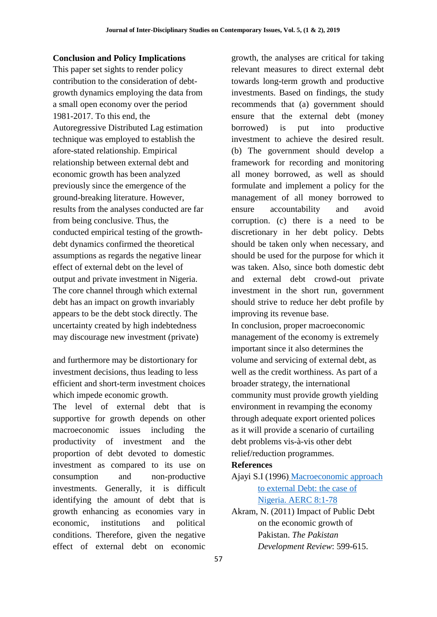#### **Conclusion and Policy Implications**

This paper set sights to render policy contribution to the consideration of debtgrowth dynamics employing the data from a small open economy over the period 1981-2017. To this end, the Autoregressive Distributed Lag estimation technique was employed to establish the afore-stated relationship. Empirical relationship between external debt and economic growth has been analyzed previously since the emergence of the ground-breaking literature. However, results from the analyses conducted are far from being conclusive. Thus, the conducted empirical testing of the growthdebt dynamics confirmed the theoretical assumptions as regards the negative linear effect of external debt on the level of output and private investment in Nigeria. The core channel through which external debt has an impact on growth invariably appears to be the debt stock directly. The uncertainty created by high indebtedness may discourage new investment (private)

and furthermore may be distortionary for investment decisions, thus leading to less efficient and short-term investment choices which impede economic growth.

The level of external debt that is supportive for growth depends on other macroeconomic issues including the productivity of investment and the proportion of debt devoted to domestic investment as compared to its use on consumption and non-productive investments. Generally, it is difficult identifying the amount of debt that is growth enhancing as economies vary in economic, institutions and political conditions. Therefore, given the negative effect of external debt on economic

growth, the analyses are critical for taking relevant measures to direct external debt towards long-term growth and productive investments. Based on findings, the study recommends that (a) government should ensure that the external debt (money borrowed) is put into productive investment to achieve the desired result. (b) The government should develop a framework for recording and monitoring all money borrowed, as well as should formulate and implement a policy for the management of all money borrowed to ensure accountability and avoid corruption. (c) there is a need to be discretionary in her debt policy. Debts should be taken only when necessary, and should be used for the purpose for which it was taken. Also, since both domestic debt and external debt crowd-out private investment in the short run, government should strive to reduce her debt profile by improving its revenue base. In conclusion, proper macroeconomic management of the economy is extremely important since it also determines the volume and servicing of external debt, as well as the credit worthiness. As part of a

broader strategy, the international community must provide growth yielding environment in revamping the economy through adequate export oriented polices as it will provide a scenario of curtailing debt problems vis-à-vis other debt relief/reduction programmes.

## **References**

- Ajayi S.I (1996) [Macroeconomic approach](https://idl-bnc.idrc.ca/dspace/bitstream/10625/11779/1/90214.pdf)  [to external Debt: the case of](https://idl-bnc.idrc.ca/dspace/bitstream/10625/11779/1/90214.pdf)  [Nigeria. AERC 8:1-78](https://idl-bnc.idrc.ca/dspace/bitstream/10625/11779/1/90214.pdf)
- Akram, N. (2011) Impact of Public Debt on the economic growth of Pakistan. *The Pakistan Development Review*: 599-615.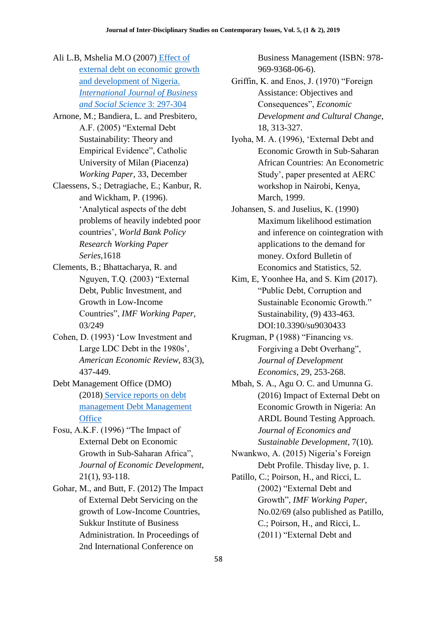- Ali L.B, Mshelia M.O (2007) [Effect of](http://www.ijbssnet.com/journals/Vol_3_No_12_Special_Issue_June_2012/29.pdf)  [external debt on economic growth](http://www.ijbssnet.com/journals/Vol_3_No_12_Special_Issue_June_2012/29.pdf)  [and development of Nigeria.](http://www.ijbssnet.com/journals/Vol_3_No_12_Special_Issue_June_2012/29.pdf)  *[International Journal of Business](http://www.ijbssnet.com/journals/Vol_3_No_12_Special_Issue_June_2012/29.pdf)  [and Social Science](http://www.ijbssnet.com/journals/Vol_3_No_12_Special_Issue_June_2012/29.pdf)* 3: 297-304
- Arnone, M.; Bandiera, L. and Presbitero, A.F. (2005) "External Debt Sustainability: Theory and Empirical Evidence", Catholic University of Milan (Piacenza) *Working Paper*, 33, December
- Claessens, S.; Detragiache, E.; Kanbur, R. and Wickham, P. (1996). "Analytical aspects of the debt problems of heavily indebted poor countries", *World Bank Policy Research Working Paper Series*,1618
- Clements, B.; Bhattacharya, R. and Nguyen, T.Q. (2003) "External Debt, Public Investment, and Growth in Low-Income Countries", *IMF Working Paper*, 03/249
- Cohen, D. (1993) "Low Investment and Large LDC Debt in the 1980s', *American Economic Review*, 83(3), 437-449.
- Debt Management Office (DMO) (2018) [Service reports on debt](http://www.dmo.gov.uk/documentview.aspx?docname=publications/annualreports/dmodmarep2015.pdf&page=Annual_Report)  [management Debt Management](http://www.dmo.gov.uk/documentview.aspx?docname=publications/annualreports/dmodmarep2015.pdf&page=Annual_Report)  **[Office](http://www.dmo.gov.uk/documentview.aspx?docname=publications/annualreports/dmodmarep2015.pdf&page=Annual_Report)**
- Fosu, A.K.F. (1996) "The Impact of External Debt on Economic Growth in Sub-Saharan Africa", *Journal of Economic Development*, 21(1), 93-118.
- Gohar, M., and Butt, F. (2012) The Impact of External Debt Servicing on the growth of Low-Income Countries, Sukkur Institute of Business Administration. In Proceedings of 2nd International Conference on

Business Management (ISBN: 978- 969-9368-06-6).

- Griffin, K. and Enos, J. (1970) "Foreign Assistance: Objectives and Consequences", *Economic Development and Cultural Change*, 18, 313-327.
- Iyoha, M. A. (1996), "External Debt and Economic Growth in Sub‐Saharan African Countries: An Econometric Study", paper presented at AERC workshop in Nairobi, Kenya, March, 1999.
- Johansen, S. and Juselius, K. (1990) Maximum likelihood estimation and inference on cointegration with applications to the demand for money. Oxford Bulletin of Economics and Statistics, 52.
- Kim, E, Yoonhee Ha, and S. Kim (2017). "Public Debt, Corruption and Sustainable Economic Growth." Sustainability, (9) 433-463. DOI:10.3390/su9030433
- Krugman, P (1988) "Financing vs. Forgiving a Debt Overhang", *Journal of Development Economics*, 29, 253-268.
- Mbah, S. A., Agu O. C. and Umunna G. (2016) Impact of External Debt on Economic Growth in Nigeria: An ARDL Bound Testing Approach. *Journal of Economics and Sustainable Development*, 7(10).
- Nwankwo, A. (2015) Nigeria"s Foreign Debt Profile. Thisday live, p. 1.
- Patillo, C.; Poirson, H., and Ricci, L. (2002) "External Debt and Growth", *IMF Working Paper*, No.02/69 (also published as Patillo, C.; Poirson, H., and Ricci, L. (2011) "External Debt and